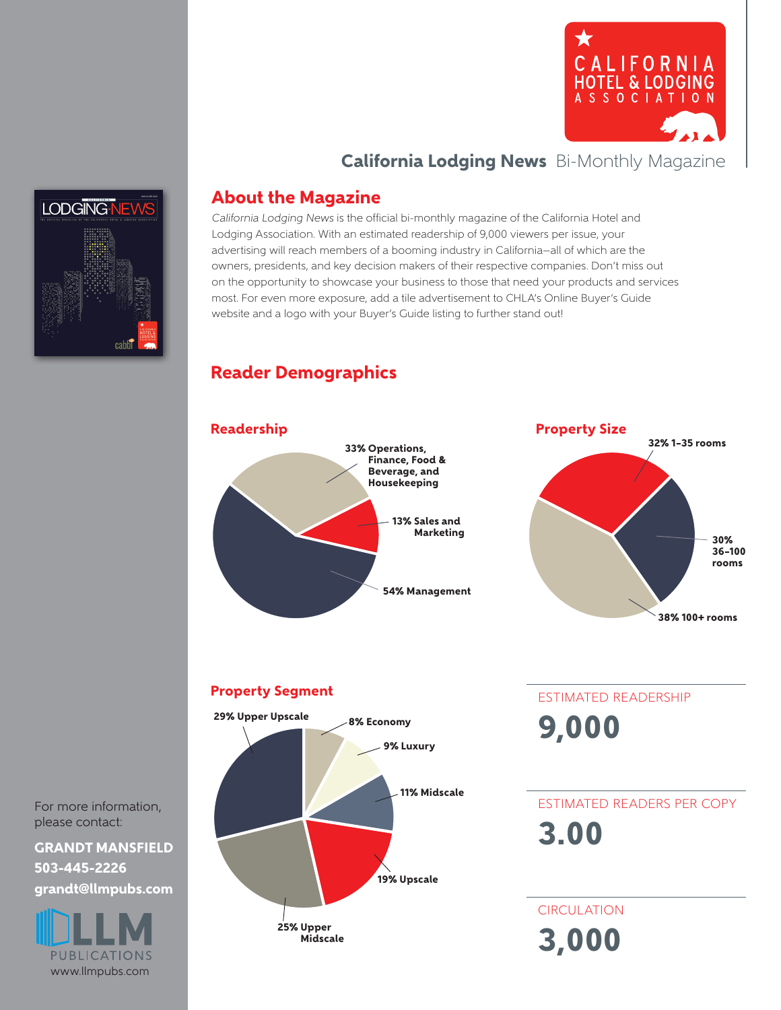

## California Lodging News Bi-Monthly Magazine



## About the Magazine

California Lodging News is the official bi-monthly magazine of the California Hotel and Lodging Association. With an estimated readership of 9,000 viewers per issue, your advertising will reach members of a booming industry in California—all of which are the owners, presidents, and key decision makers of their respective companies. Don't miss out on the opportunity to showcase your business to those that need your products and services most. For even more exposure, add a tile advertisement to CHLA's Online Buyer's Guide website and a logo with your Buyer's Guide listing to further stand out!

## Reader Demographics



### Property Segment



ESTIMATED READERSHIP 9,000

ESTIMATED READERS PER COPY 3.00

CIRCULATION

3,000

For more information, please contact:

GRANDT MANSFIELD 503-445-2226 grandt@llmpubs.com